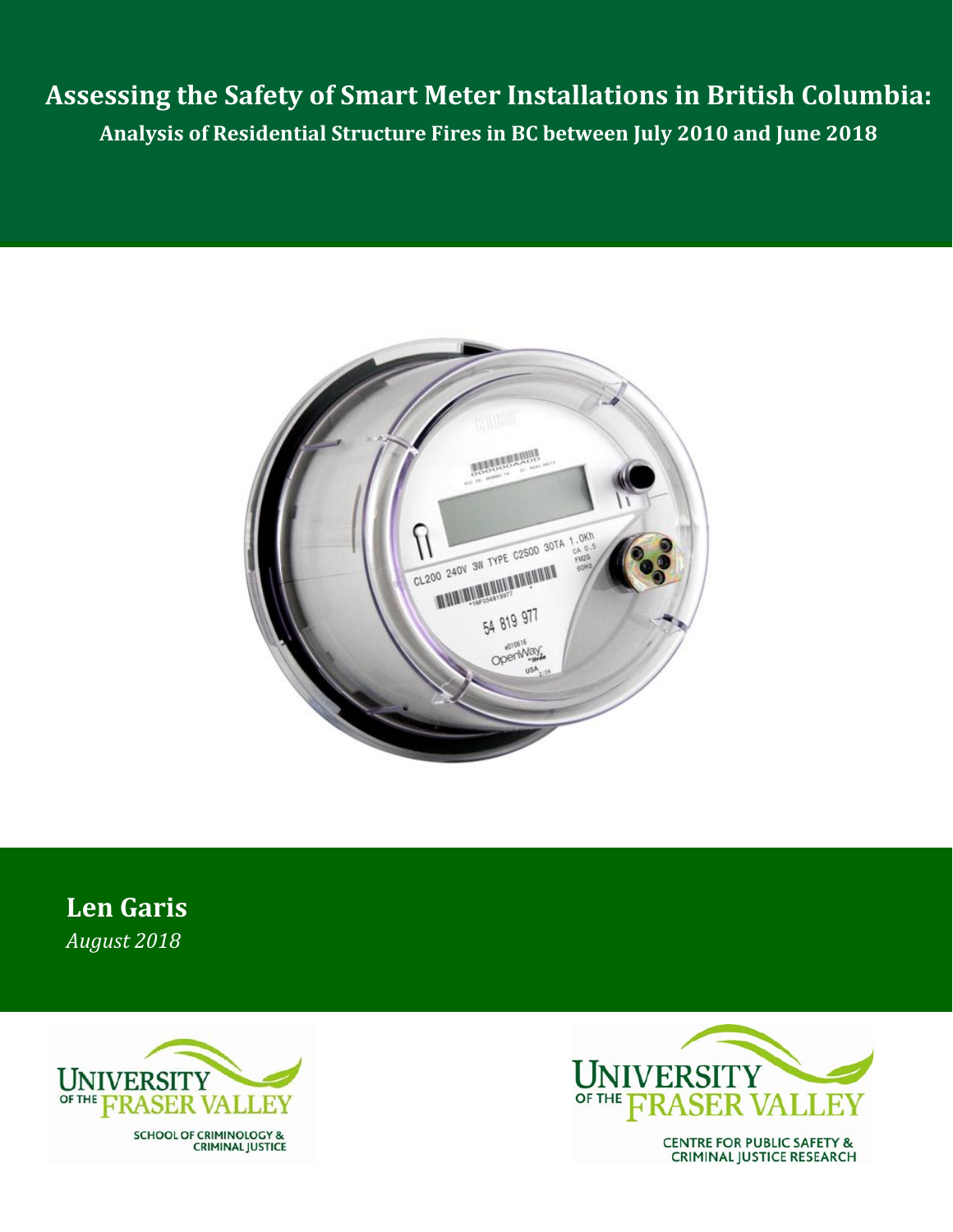**Assessing the Safety of Smart Meter Installations in British Columbia: Analysis of Residential Structure Fires in BC between July 2010 and June 2018**



**Len Garis** *August 2018*



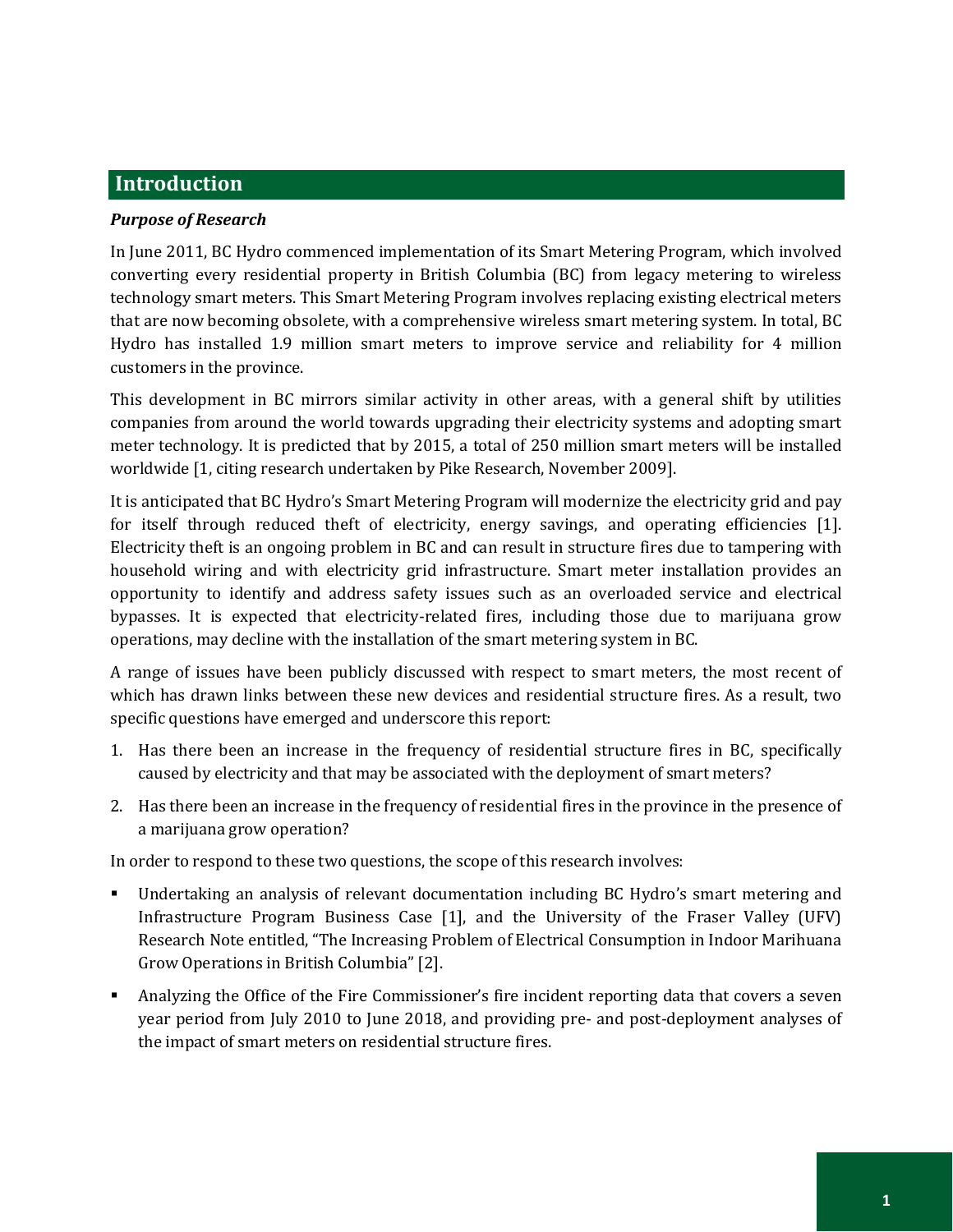# **Introduction**

### *Purpose of Research*

In June 2011, BC Hydro commenced implementation of its Smart Metering Program, which involved converting every residential property in British Columbia (BC) from legacy metering to wireless technology smart meters. This Smart Metering Program involves replacing existing electrical meters that are now becoming obsolete, with a comprehensive wireless smart metering system. In total, BC Hydro has installed 1.9 million smart meters to improve service and reliability for 4 million customers in the province.

This development in BC mirrors similar activity in other areas, with a general shift by utilities companies from around the world towards upgrading their electricity systems and adopting smart meter technology. It is predicted that by 2015, a total of 250 million smart meters will be installed worldwide [1, citing research undertaken by Pike Research, November 2009].

It is anticipated that BC Hydro's Smart Metering Program will modernize the electricity grid and pay for itself through reduced theft of electricity, energy savings, and operating efficiencies [1]. Electricity theft is an ongoing problem in BC and can result in structure fires due to tampering with household wiring and with electricity grid infrastructure. Smart meter installation provides an opportunity to identify and address safety issues such as an overloaded service and electrical bypasses. It is expected that electricity-related fires, including those due to marijuana grow operations, may decline with the installation of the smart metering system in BC.

A range of issues have been publicly discussed with respect to smart meters, the most recent of which has drawn links between these new devices and residential structure fires. As a result, two specific questions have emerged and underscore this report:

- 1. Has there been an increase in the frequency of residential structure fires in BC, specifically caused by electricity and that may be associated with the deployment of smart meters?
- 2. Has there been an increase in the frequency of residential fires in the province in the presence of a marijuana grow operation?

In order to respond to these two questions, the scope of this research involves:

- Undertaking an analysis of relevant documentation including BC Hydro's smart metering and Infrastructure Program Business Case [1], and the University of the Fraser Valley (UFV) Research Note entitled, "The Increasing Problem of Electrical Consumption in Indoor Marihuana Grow Operations in British Columbia" [2].
- Analyzing the Office of the Fire Commissioner's fire incident reporting data that covers a seven year period from July 2010 to June 2018, and providing pre- and post-deployment analyses of the impact of smart meters on residential structure fires.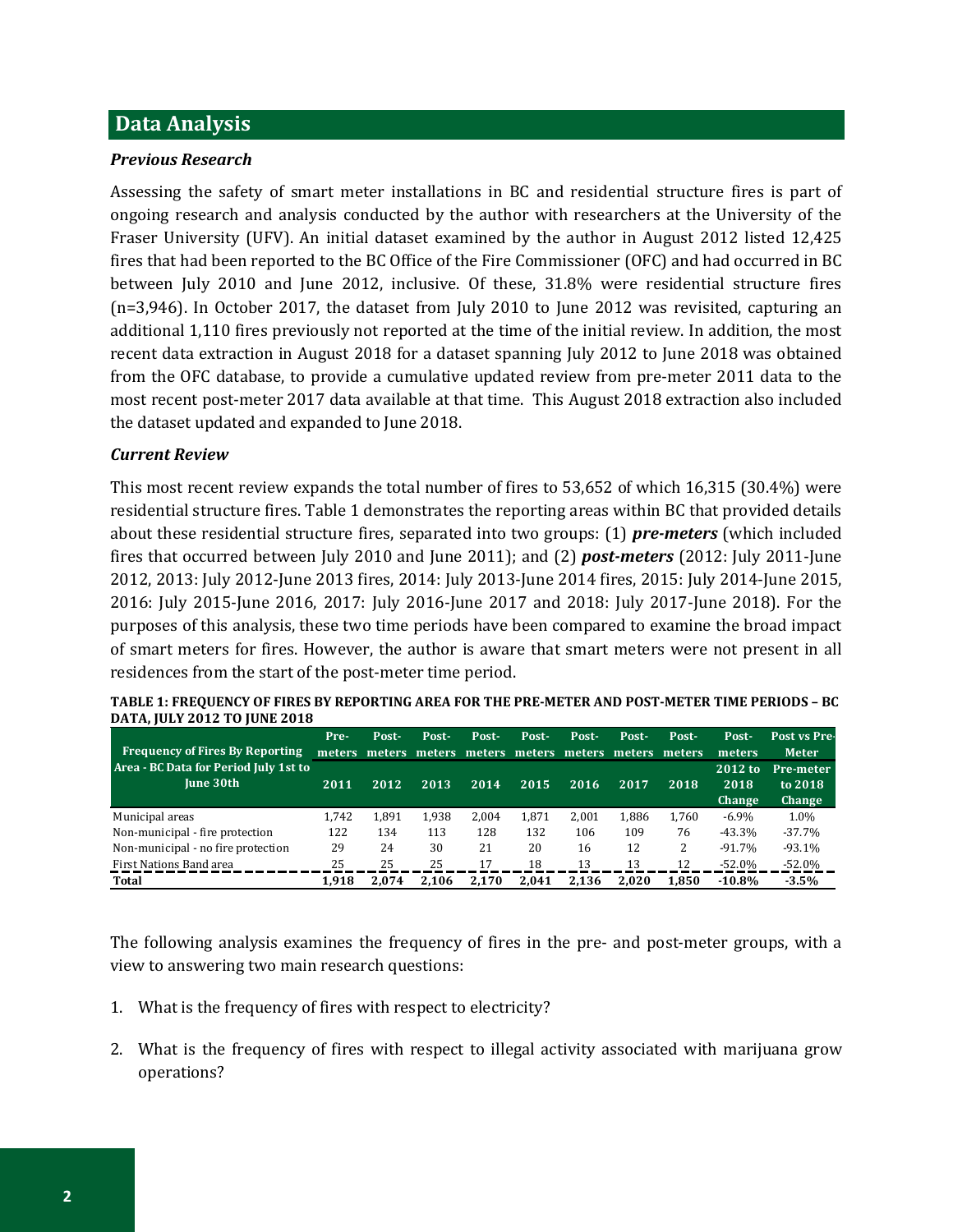## **Data Analysis**

#### *Previous Research*

Assessing the safety of smart meter installations in BC and residential structure fires is part of ongoing research and analysis conducted by the author with researchers at the University of the Fraser University (UFV). An initial dataset examined by the author in August 2012 listed 12,425 fires that had been reported to the BC Office of the Fire Commissioner (OFC) and had occurred in BC between July 2010 and June 2012, inclusive. Of these, 31.8% were residential structure fires (n=3,946). In October 2017, the dataset from July 2010 to June 2012 was revisited, capturing an additional 1,110 fires previously not reported at the time of the initial review. In addition, the most recent data extraction in August 2018 for a dataset spanning July 2012 to June 2018 was obtained from the OFC database, to provide a cumulative updated review from pre-meter 2011 data to the most recent post-meter 2017 data available at that time. This August 2018 extraction also included the dataset updated and expanded to June 2018.

#### *Current Review*

This most recent review expands the total number of fires to 53,652 of which 16,315 (30.4%) were residential structure fires. Table 1 demonstrates the reporting areas within BC that provided details about these residential structure fires, separated into two groups: (1) *pre-meters* (which included fires that occurred between July 2010 and June 2011); and (2) *post-meters* (2012: July 2011-June 2012, 2013: July 2012-June 2013 fires, 2014: July 2013-June 2014 fires, 2015: July 2014-June 2015, 2016: July 2015-June 2016, 2017: July 2016-June 2017 and 2018: July 2017-June 2018). For the purposes of this analysis, these two time periods have been compared to examine the broad impact of smart meters for fires. However, the author is aware that smart meters were not present in all residences from the start of the post-meter time period.

| <b>Frequency of Fires By Reporting</b><br>Area - BC Data for Period July 1st to<br>June 30th | Pre-  | Post- | Post- | Post- | Post-<br>meters meters meters meters meters meters meters meters | Post- | Post- | Post- | Post-<br>meters           | Post vs Pre-<br><b>Meter</b>                 |
|----------------------------------------------------------------------------------------------|-------|-------|-------|-------|------------------------------------------------------------------|-------|-------|-------|---------------------------|----------------------------------------------|
|                                                                                              | 2011  | 2012  | 2013  | 2014  | 2015                                                             | 2016  | 2017  | 2018  | 2012 to<br>2018<br>Change | <b>Pre-meter</b><br>to 2018<br><b>Change</b> |
| Municipal areas                                                                              | 1.742 | 1.891 | 1.938 | 2.004 | 1.871                                                            | 2.001 | 1.886 | 1.760 | $-6.9\%$                  | 1.0%                                         |
| Non-municipal - fire protection                                                              | 122   | 134   | 113   | 128   | 132                                                              | 106   | 109   | 76    | $-43.3%$                  | $-37.7%$                                     |
| Non-municipal - no fire protection                                                           | 29    | 24    | 30    | 21    | 20                                                               | 16    | 12    | 2     | $-91.7\%$                 | $-93.1%$                                     |
| First Nations Band area                                                                      | 25    | 25    | 25    | 17    | 18                                                               | 13    | 13    | 12    | $-52.0\%$                 | $-52.0%$                                     |
| Total                                                                                        | 1.918 | 2.074 | 2.106 | 2.170 | 2.041                                                            | 2.136 | 2.020 | 1.850 | $-10.8%$                  | $-3.5%$                                      |

| TABLE 1: FREQUENCY OF FIRES BY REPORTING AREA FOR THE PRE-METER AND POST-METER TIME PERIODS – BC |
|--------------------------------------------------------------------------------------------------|
| DATA, JULY 2012 TO JUNE 2018                                                                     |
|                                                                                                  |

The following analysis examines the frequency of fires in the pre- and post-meter groups, with a view to answering two main research questions:

- 1. What is the frequency of fires with respect to electricity?
- 2. What is the frequency of fires with respect to illegal activity associated with marijuana grow operations?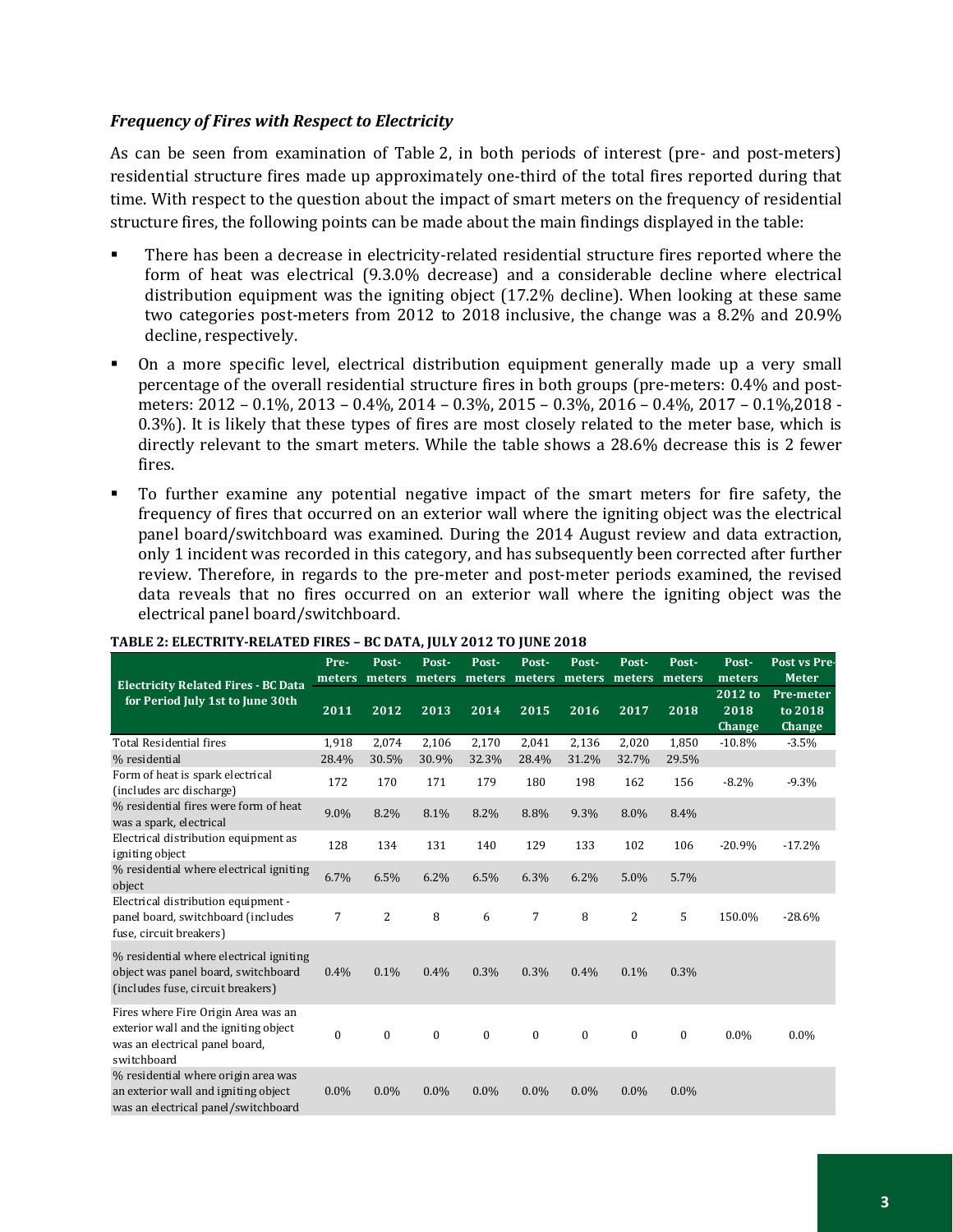## *Frequency of Fires with Respect to Electricity*

As can be seen from examination of Table 2, in both periods of interest (pre- and post-meters) residential structure fires made up approximately one-third of the total fires reported during that time. With respect to the question about the impact of smart meters on the frequency of residential structure fires, the following points can be made about the main findings displayed in the table:

- There has been a decrease in electricity-related residential structure fires reported where the form of heat was electrical (9.3.0% decrease) and a considerable decline where electrical distribution equipment was the igniting object (17.2% decline). When looking at these same two categories post-meters from 2012 to 2018 inclusive, the change was a 8.2% and 20.9% decline, respectively.
- On a more specific level, electrical distribution equipment generally made up a very small percentage of the overall residential structure fires in both groups (pre-meters: 0.4% and postmeters: 2012 – 0.1%, 2013 – 0.4%, 2014 – 0.3%, 2015 – 0.3%, 2016 – 0.4%, 2017 – 0.1%,2018 - 0.3%). It is likely that these types of fires are most closely related to the meter base, which is directly relevant to the smart meters. While the table shows a 28.6% decrease this is 2 fewer fires.
- To further examine any potential negative impact of the smart meters for fire safety, the frequency of fires that occurred on an exterior wall where the igniting object was the electrical panel board/switchboard was examined. During the 2014 August review and data extraction, only 1 incident was recorded in this category, and has subsequently been corrected after further review. Therefore, in regards to the pre-meter and post-meter periods examined, the revised data reveals that no fires occurred on an exterior wall where the igniting object was the electrical panel board/switchboard.

| <b>Electricity Related Fires - BC Data</b><br>for Period July 1st to June 30th                                                | Pre-<br>meters | Post-<br>meters | Post-<br>meters | Post-<br>meters meters | Post-          | Post-<br>meters | Post-<br>meters | Post-<br>meters | Post-<br>meters           | Post vs Pre-<br><b>Meter</b>   |
|-------------------------------------------------------------------------------------------------------------------------------|----------------|-----------------|-----------------|------------------------|----------------|-----------------|-----------------|-----------------|---------------------------|--------------------------------|
|                                                                                                                               | 2011           | 2012            | 2013            | 2014                   | 2015           | 2016            | 2017            | 2018            | 2012 to<br>2018<br>Change | Pre-meter<br>to 2018<br>Change |
| Total Residential fires                                                                                                       | 1,918          | 2,074           | 2,106           | 2,170                  | 2,041          | 2,136           | 2,020           | 1,850           | $-10.8%$                  | $-3.5%$                        |
| % residential                                                                                                                 | 28.4%          | 30.5%           | 30.9%           | 32.3%                  | 28.4%          | 31.2%           | 32.7%           | 29.5%           |                           |                                |
| Form of heat is spark electrical<br>(includes arc discharge)                                                                  | 172            | 170             | 171             | 179                    | 180            | 198             | 162             | 156             | $-8.2\%$                  | $-9.3%$                        |
| % residential fires were form of heat<br>was a spark, electrical                                                              | 9.0%           | 8.2%            | 8.1%            | 8.2%                   | 8.8%           | 9.3%            | 8.0%            | 8.4%            |                           |                                |
| Electrical distribution equipment as<br>igniting object                                                                       | 128            | 134             | 131             | 140                    | 129            | 133             | 102             | 106             | $-20.9%$                  | $-17.2%$                       |
| % residential where electrical igniting<br>object                                                                             | 6.7%           | 6.5%            | 6.2%            | 6.5%                   | 6.3%           | $6.2\%$         | 5.0%            | 5.7%            |                           |                                |
| Electrical distribution equipment -<br>panel board, switchboard (includes<br>fuse, circuit breakers)                          | $\overline{7}$ | $\overline{2}$  | 8               | 6                      | $\overline{7}$ | 8               | $\overline{2}$  | 5               | 150.0%                    | $-28.6%$                       |
| % residential where electrical igniting<br>object was panel board, switchboard<br>(includes fuse, circuit breakers)           | 0.4%           | 0.1%            | 0.4%            | 0.3%                   | 0.3%           | 0.4%            | 0.1%            | 0.3%            |                           |                                |
| Fires where Fire Origin Area was an<br>exterior wall and the igniting object<br>was an electrical panel board,<br>switchboard | $\theta$       | $\mathbf{0}$    | $\Omega$        | $\Omega$               | $\Omega$       | $\Omega$        | $\Omega$        | $\Omega$        | $0.0\%$                   | $0.0\%$                        |
| % residential where origin area was<br>an exterior wall and igniting object<br>was an electrical panel/switchboard            | $0.0\%$        | $0.0\%$         | $0.0\%$         | $0.0\%$                | $0.0\%$        | $0.0\%$         | $0.0\%$         | $0.0\%$         |                           |                                |

#### **TABLE 2: ELECTRITY-RELATED FIRES – BC DATA, JULY 2012 TO JUNE 2018**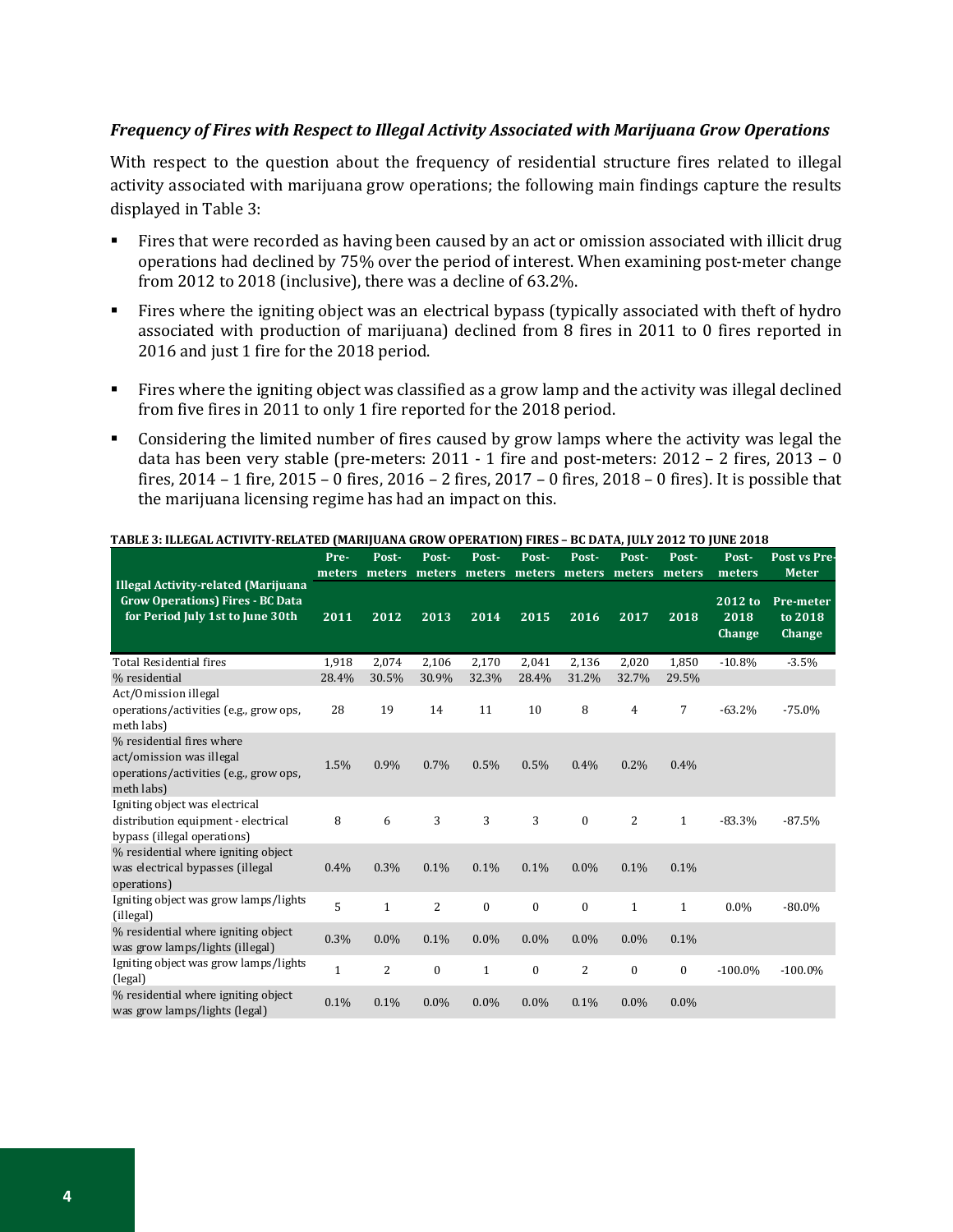### *Frequency of Fires with Respect to Illegal Activity Associated with Marijuana Grow Operations*

With respect to the question about the frequency of residential structure fires related to illegal activity associated with marijuana grow operations; the following main findings capture the results displayed in Table 3:

- Fires that were recorded as having been caused by an act or omission associated with illicit drug operations had declined by 75% over the period of interest. When examining post-meter change from 2012 to 2018 (inclusive), there was a decline of 63.2%.
- Fires where the igniting object was an electrical bypass (typically associated with theft of hydro associated with production of marijuana) declined from 8 fires in 2011 to 0 fires reported in 2016 and just 1 fire for the 2018 period.
- Fires where the igniting object was classified as a grow lamp and the activity was illegal declined from five fires in 2011 to only 1 fire reported for the 2018 period.
- Considering the limited number of fires caused by grow lamps where the activity was legal the data has been very stable (pre-meters: 2011 - 1 fire and post-meters: 2012 – 2 fires, 2013 – 0 fires, 2014 – 1 fire, 2015 – 0 fires, 2016 – 2 fires, 2017 – 0 fires, 2018 – 0 fires). It is possible that the marijuana licensing regime has had an impact on this.

|                                                                                                               | $\cdots$<br>Pre- | Post-          | Post-          | Post-        | Post-            | Post-          | Post-        | Post-            | Post-                     | Post vs Pre                    |
|---------------------------------------------------------------------------------------------------------------|------------------|----------------|----------------|--------------|------------------|----------------|--------------|------------------|---------------------------|--------------------------------|
| <b>Illegal Activity-related (Marijuana</b>                                                                    | meters           |                | meters meters  | meters       | meters           | meters         | meters       | meters           | meters                    | <b>Meter</b>                   |
| <b>Grow Operations) Fires - BC Data</b><br>for Period July 1st to June 30th                                   | 2011             | 2012           | 2013           | 2014         | 2015             | 2016           | 2017         | 2018             | 2012 to<br>2018<br>Change | Pre-meter<br>to 2018<br>Change |
| <b>Total Residential fires</b>                                                                                | 1,918            | 2,074          | 2.106          | 2,170        | 2.041            | 2,136          | 2.020        | 1,850            | $-10.8%$                  | $-3.5%$                        |
| % residential                                                                                                 | 28.4%            | 30.5%          | 30.9%          | 32.3%        | 28.4%            | 31.2%          | 32.7%        | 29.5%            |                           |                                |
| Act/Omission illegal<br>operations/activities (e.g., grow ops,<br>meth labs)                                  | 28               | 19             | 14             | 11           | 10               | 8              | 4            | 7                | $-63.2%$                  | $-75.0%$                       |
| % residential fires where<br>act/omission was illegal<br>operations/activities (e.g., grow ops,<br>meth labs) | 1.5%             | 0.9%           | 0.7%           | 0.5%         | 0.5%             | 0.4%           | 0.2%         | 0.4%             |                           |                                |
| Igniting object was electrical<br>distribution equipment - electrical<br>bypass (illegal operations)          | 8                | 6              | 3              | 3            | 3                | $\mathbf{0}$   | 2            | 1                | $-83.3%$                  | $-87.5%$                       |
| % residential where igniting object<br>was electrical bypasses (illegal<br>operations)                        | 0.4%             | 0.3%           | 0.1%           | 0.1%         | 0.1%             | 0.0%           | 0.1%         | 0.1%             |                           |                                |
| Igniting object was grow lamps/lights<br>(illegal)                                                            | 5                | $\mathbf{1}$   | $\overline{2}$ | $\mathbf{0}$ | $\boldsymbol{0}$ | $\mathbf{0}$   | $\mathbf{1}$ | $\mathbf{1}$     | $0.0\%$                   | $-80.0\%$                      |
| % residential where igniting object<br>was grow lamps/lights (illegal)                                        | 0.3%             | $0.0\%$        | 0.1%           | $0.0\%$      | $0.0\%$          | 0.0%           | $0.0\%$      | 0.1%             |                           |                                |
| Igniting object was grow lamps/lights<br>(legal)                                                              | $\mathbf{1}$     | $\overline{2}$ | $\mathbf{0}$   | $\mathbf{1}$ | $\bf{0}$         | $\overline{2}$ | $\mathbf{0}$ | $\boldsymbol{0}$ | $-100.0\%$                | $-100.0\%$                     |
| % residential where igniting object<br>was grow lamps/lights (legal)                                          | 0.1%             | 0.1%           | $0.0\%$        | $0.0\%$      | $0.0\%$          | 0.1%           | $0.0\%$      | $0.0\%$          |                           |                                |

#### **TABLE 3: ILLEGAL ACTIVITY-RELATED (MARIJUANA GROW OPERATION) FIRES – BC DATA, JULY 2012 TO JUNE 2018**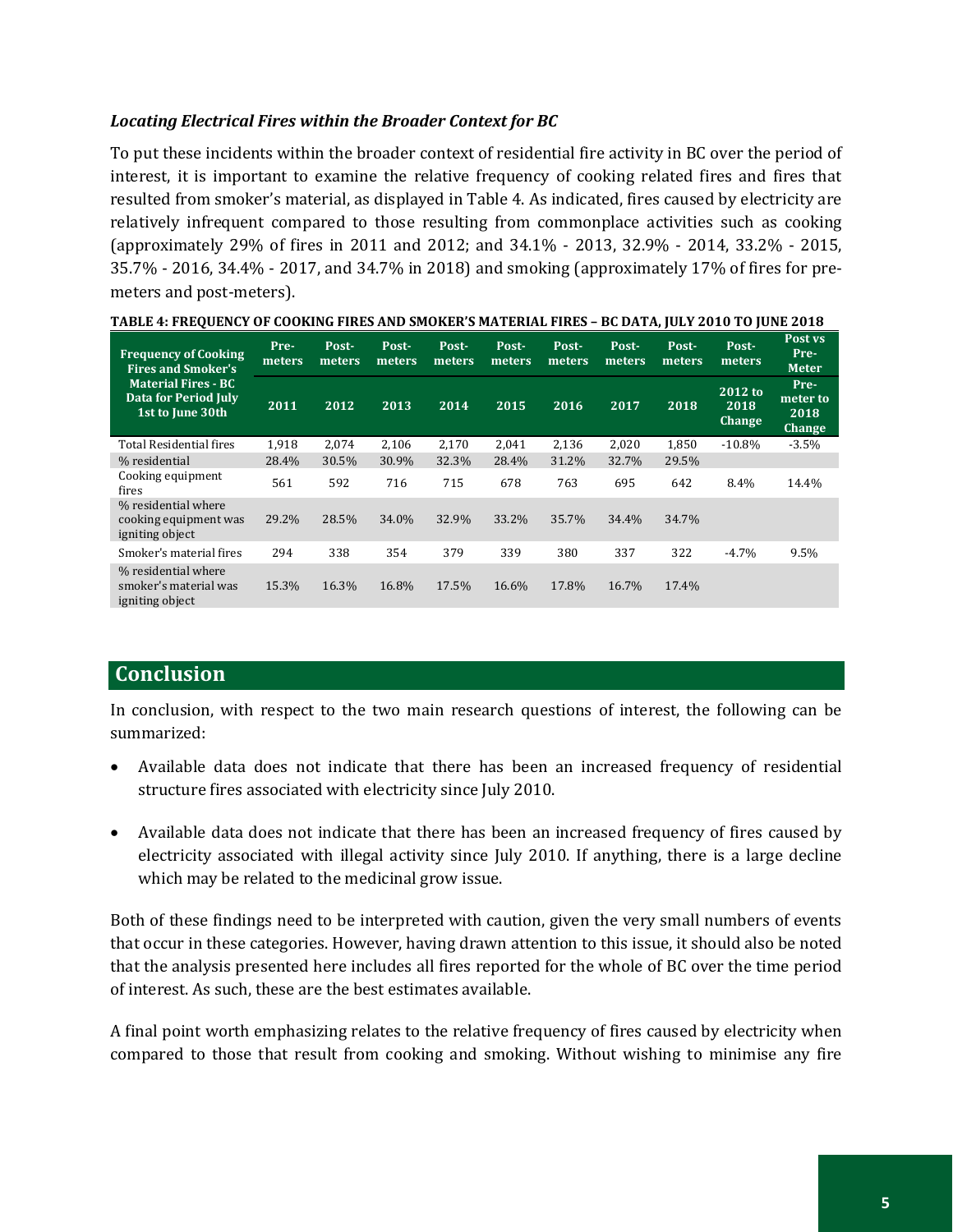## *Locating Electrical Fires within the Broader Context for BC*

To put these incidents within the broader context of residential fire activity in BC over the period of interest, it is important to examine the relative frequency of cooking related fires and fires that resulted from smoker's material, as displayed in Table 4. As indicated, fires caused by electricity are relatively infrequent compared to those resulting from commonplace activities such as cooking (approximately 29% of fires in 2011 and 2012; and 34.1% - 2013, 32.9% - 2014, 33.2% - 2015, 35.7% - 2016, 34.4% - 2017, and 34.7% in 2018) and smoking (approximately 17% of fires for premeters and post-meters).

| <b>Frequency of Cooking</b><br><b>Fires and Smoker's</b>                      | Pre-<br>meters | Post-<br>meters | Post-<br>meters | Post-<br>meters | Post-<br>meters | Post-<br>meters | Post-<br>meters | Post-<br>meters | Post-<br>meters                  | Post vs<br>Pre-<br><b>Meter</b>           |
|-------------------------------------------------------------------------------|----------------|-----------------|-----------------|-----------------|-----------------|-----------------|-----------------|-----------------|----------------------------------|-------------------------------------------|
| <b>Material Fires - BC</b><br><b>Data for Period July</b><br>1st to June 30th | 2011           | 2012            | 2013            | 2014            | 2015            | 2016            | 2017            | 2018            | 2012 to<br>2018<br><b>Change</b> | Pre-<br>meter to<br>2018<br><b>Change</b> |
| <b>Total Residential fires</b>                                                | 1,918          | 2,074           | 2,106           | 2,170           | 2,041           | 2,136           | 2,020           | 1,850           | $-10.8%$                         | $-3.5%$                                   |
| % residential                                                                 | 28.4%          | 30.5%           | 30.9%           | 32.3%           | 28.4%           | 31.2%           | 32.7%           | 29.5%           |                                  |                                           |
| Cooking equipment<br>fires                                                    | 561            | 592             | 716             | 715             | 678             | 763             | 695             | 642             | 8.4%                             | 14.4%                                     |
| % residential where<br>cooking equipment was<br>igniting object               | 29.2%          | 28.5%           | 34.0%           | 32.9%           | 33.2%           | 35.7%           | 34.4%           | 34.7%           |                                  |                                           |
| Smoker's material fires                                                       | 294            | 338             | 354             | 379             | 339             | 380             | 337             | 322             | $-4.7\%$                         | 9.5%                                      |
| % residential where<br>smoker's material was<br>igniting object               | 15.3%          | 16.3%           | 16.8%           | 17.5%           | 16.6%           | 17.8%           | 16.7%           | 17.4%           |                                  |                                           |

**TABLE 4: FREQUENCY OF COOKING FIRES AND SMOKER'S MATERIAL FIRES – BC DATA, JULY 2010 TO JUNE 2018**

## **Conclusion**

In conclusion, with respect to the two main research questions of interest, the following can be summarized:

- Available data does not indicate that there has been an increased frequency of residential structure fires associated with electricity since July 2010.
- Available data does not indicate that there has been an increased frequency of fires caused by electricity associated with illegal activity since July 2010. If anything, there is a large decline which may be related to the medicinal grow issue.

Both of these findings need to be interpreted with caution, given the very small numbers of events that occur in these categories. However, having drawn attention to this issue, it should also be noted that the analysis presented here includes all fires reported for the whole of BC over the time period of interest. As such, these are the best estimates available.

A final point worth emphasizing relates to the relative frequency of fires caused by electricity when compared to those that result from cooking and smoking. Without wishing to minimise any fire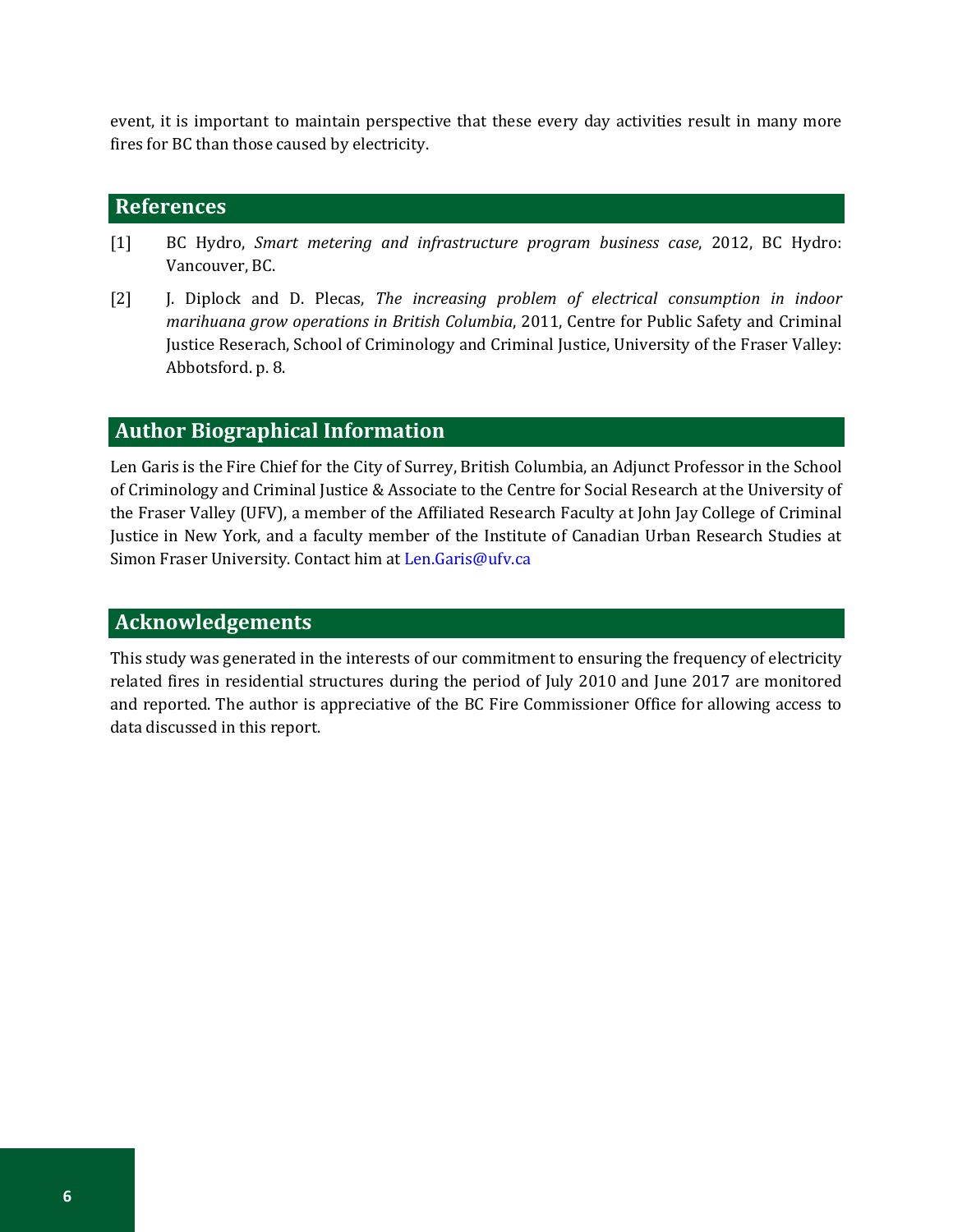event, it is important to maintain perspective that these every day activities result in many more fires for BC than those caused by electricity.

# **References**

- [1] BC Hydro, *Smart metering and infrastructure program business case*, 2012, BC Hydro: Vancouver, BC.
- [2] J. Diplock and D. Plecas, *The increasing problem of electrical consumption in indoor marihuana grow operations in British Columbia*, 2011, Centre for Public Safety and Criminal Justice Reserach, School of Criminology and Criminal Justice, University of the Fraser Valley: Abbotsford. p. 8.

## **Author Biographical Information**

Len Garis is the Fire Chief for the City of Surrey, British Columbia, an Adjunct Professor in the School of Criminology and Criminal Justice & Associate to the Centre for Social Research at the University of the Fraser Valley (UFV), a member of the Affiliated Research Faculty at John Jay College of Criminal Justice in New York, and a faculty member of the Institute of Canadian Urban Research Studies at Simon Fraser University. Contact him at Len.Garis@ufv.ca

## **Acknowledgements**

This study was generated in the interests of our commitment to ensuring the frequency of electricity related fires in residential structures during the period of July 2010 and June 2017 are monitored and reported. The author is appreciative of the BC Fire Commissioner Office for allowing access to data discussed in this report.